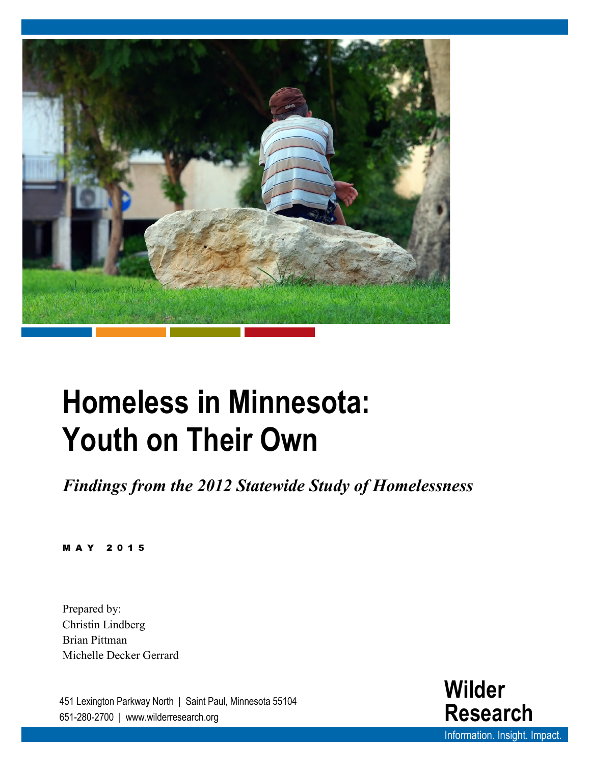

# **Homeless in Minnesota: Youth on Their Own**

*Findings from the 2012 Statewide Study of Homelessness*

MAY 2015

Prepared by: Christin Lindberg Brian Pittman Michelle Decker Gerrard

451 Lexington Parkway North | Saint Paul, Minnesota 55104 651-280-2700 | www.wilderresearch.org

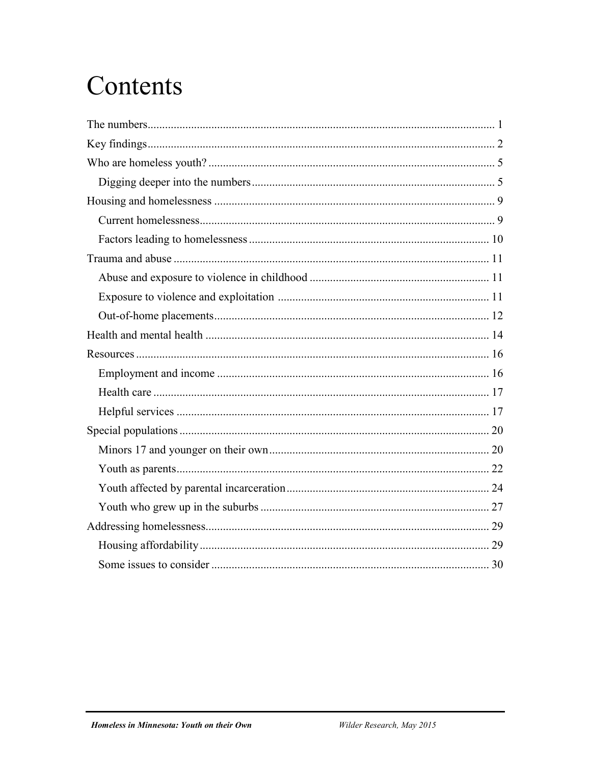# Contents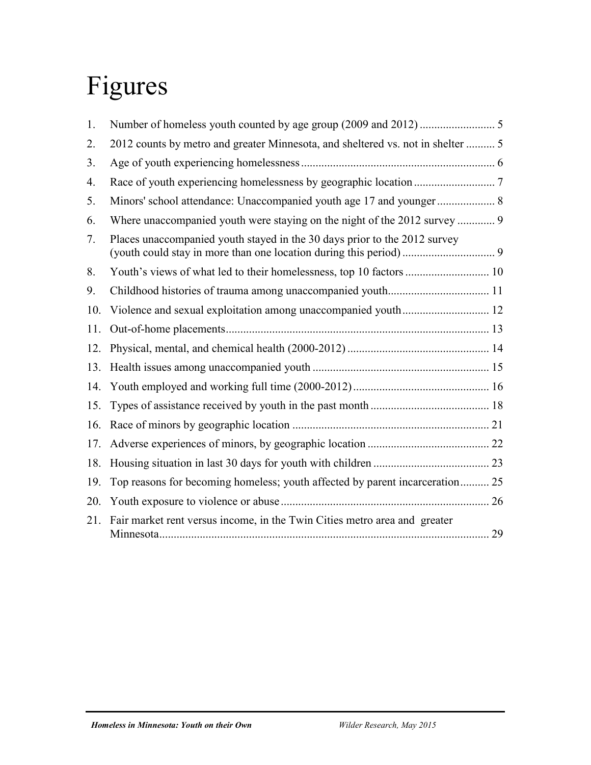# Figures

| 1.  |                                                                                 |  |
|-----|---------------------------------------------------------------------------------|--|
| 2.  | 2012 counts by metro and greater Minnesota, and sheltered vs. not in shelter  5 |  |
| 3.  |                                                                                 |  |
| 4.  |                                                                                 |  |
| 5.  |                                                                                 |  |
| 6.  | Where unaccompanied youth were staying on the night of the 2012 survey  9       |  |
| 7.  | Places unaccompanied youth stayed in the 30 days prior to the 2012 survey       |  |
| 8.  |                                                                                 |  |
| 9.  |                                                                                 |  |
| 10. |                                                                                 |  |
| 11. |                                                                                 |  |
| 12. |                                                                                 |  |
| 13. |                                                                                 |  |
| 14. |                                                                                 |  |
| 15. |                                                                                 |  |
| 16. |                                                                                 |  |
| 17. |                                                                                 |  |
| 18. |                                                                                 |  |
| 19. | Top reasons for becoming homeless; youth affected by parent incarceration 25    |  |
| 20. |                                                                                 |  |
| 21. | Fair market rent versus income, in the Twin Cities metro area and greater       |  |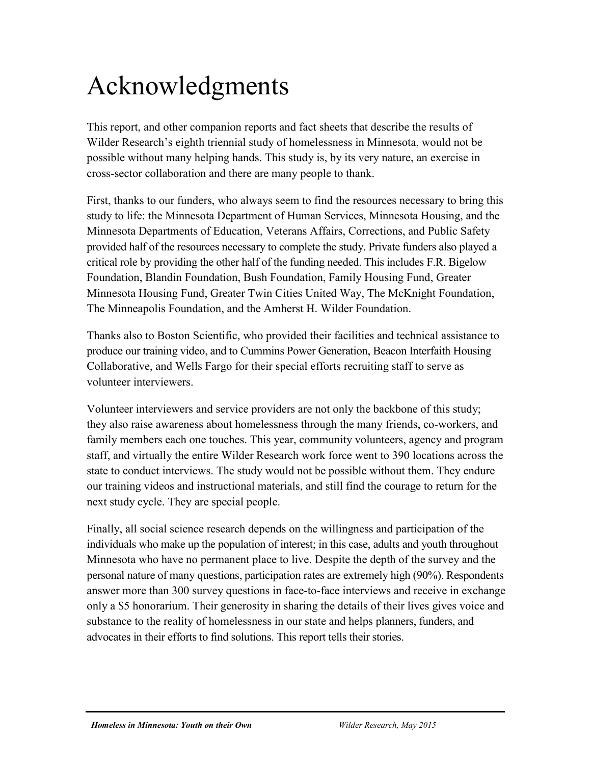# Acknowledgments

This report, and other companion reports and fact sheets that describe the results of Wilder Research's eighth triennial study of homelessness in Minnesota, would not be possible without many helping hands. This study is, by its very nature, an exercise in cross-sector collaboration and there are many people to thank.

First, thanks to our funders, who always seem to find the resources necessary to bring this study to life: the Minnesota Department of Human Services, Minnesota Housing, and the Minnesota Departments of Education, Veterans Affairs, Corrections, and Public Safety provided half of the resources necessary to complete the study. Private funders also played a critical role by providing the other half of the funding needed. This includes F.R. Bigelow Foundation, Blandin Foundation, Bush Foundation, Family Housing Fund, Greater Minnesota Housing Fund, Greater Twin Cities United Way, The McKnight Foundation, The Minneapolis Foundation, and the Amherst H. Wilder Foundation.

Thanks also to Boston Scientific, who provided their facilities and technical assistance to produce our training video, and to Cummins Power Generation, Beacon Interfaith Housing Collaborative, and Wells Fargo for their special efforts recruiting staff to serve as volunteer interviewers.

Volunteer interviewers and service providers are not only the backbone of this study; they also raise awareness about homelessness through the many friends, co-workers, and family members each one touches. This year, community volunteers, agency and program staff, and virtually the entire Wilder Research work force went to 390 locations across the state to conduct interviews. The study would not be possible without them. They endure our training videos and instructional materials, and still find the courage to return for the next study cycle. They are special people.

Finally, all social science research depends on the willingness and participation of the individuals who make up the population of interest; in this case, adults and youth throughout Minnesota who have no permanent place to live. Despite the depth of the survey and the personal nature of many questions, participation rates are extremely high (90%). Respondents answer more than 300 survey questions in face-to-face interviews and receive in exchange only a \$5 honorarium. Their generosity in sharing the details of their lives gives voice and substance to the reality of homelessness in our state and helps planners, funders, and advocates in their efforts to find solutions. This report tells their stories.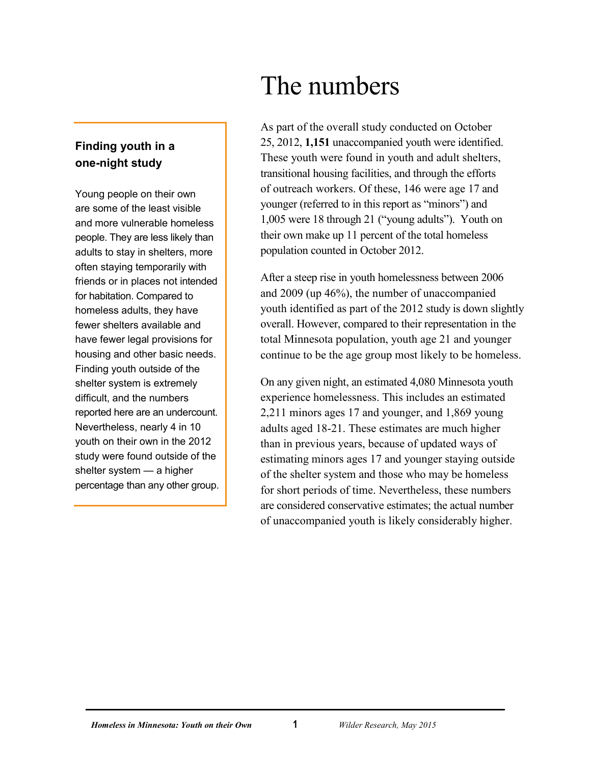### <span id="page-4-0"></span>**Finding youth in a one-night study**

Young people on their own are some of the least visible and more vulnerable homeless people. They are less likely than adults to stay in shelters, more often staying temporarily with friends or in places not intended for habitation. Compared to homeless adults, they have fewer shelters available and have fewer legal provisions for housing and other basic needs. Finding youth outside of the shelter system is extremely difficult, and the numbers reported here are an undercount. Nevertheless, nearly 4 in 10 youth on their own in the 2012 study were found outside of the shelter system — a higher percentage than any other group.

# The numbers

As part of the overall study conducted on October 25, 2012, **1,151** unaccompanied youth were identified. These youth were found in youth and adult shelters, transitional housing facilities, and through the efforts of outreach workers. Of these, 146 were age 17 and younger (referred to in this report as "minors") and 1,005 were 18 through 21 ("young adults"). Youth on their own make up 11 percent of the total homeless population counted in October 2012.

After a steep rise in youth homelessness between 2006 and 2009 (up 46%), the number of unaccompanied youth identified as part of the 2012 study is down slightly overall. However, compared to their representation in the total Minnesota population, youth age 21 and younger continue to be the age group most likely to be homeless.

On any given night, an estimated 4,080 Minnesota youth experience homelessness. This includes an estimated 2,211 minors ages 17 and younger, and 1,869 young adults aged 18-21. These estimates are much higher than in previous years, because of updated ways of estimating minors ages 17 and younger staying outside of the shelter system and those who may be homeless for short periods of time. Nevertheless, these numbers are considered conservative estimates; the actual number of unaccompanied youth is likely considerably higher.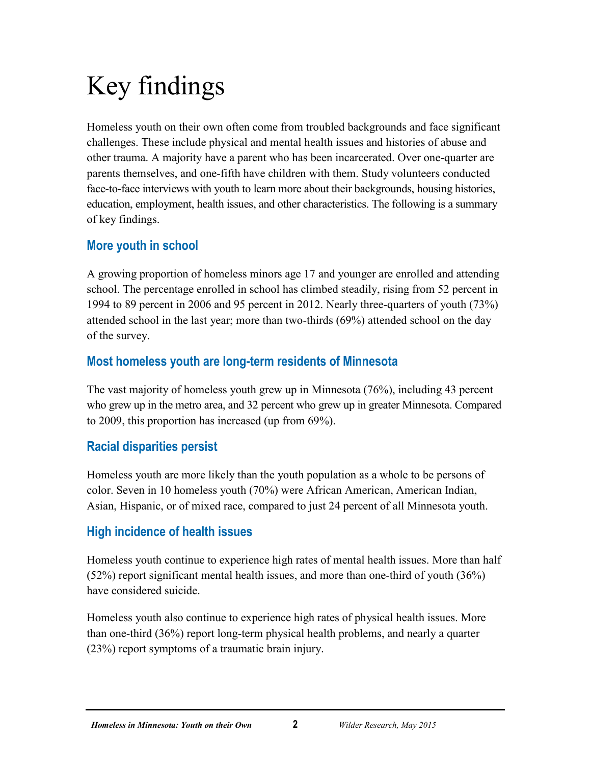# <span id="page-5-0"></span>Key findings

Homeless youth on their own often come from troubled backgrounds and face significant challenges. These include physical and mental health issues and histories of abuse and other trauma. A majority have a parent who has been incarcerated. Over one-quarter are parents themselves, and one-fifth have children with them. Study volunteers conducted face-to-face interviews with youth to learn more about their backgrounds, housing histories, education, employment, health issues, and other characteristics. The following is a summary of key findings.

# **More youth in school**

A growing proportion of homeless minors age 17 and younger are enrolled and attending school. The percentage enrolled in school has climbed steadily, rising from 52 percent in 1994 to 89 percent in 2006 and 95 percent in 2012. Nearly three-quarters of youth (73%) attended school in the last year; more than two-thirds (69%) attended school on the day of the survey.

# **Most homeless youth are long-term residents of Minnesota**

The vast majority of homeless youth grew up in Minnesota (76%), including 43 percent who grew up in the metro area, and 32 percent who grew up in greater Minnesota. Compared to 2009, this proportion has increased (up from 69%).

# **Racial disparities persist**

Homeless youth are more likely than the youth population as a whole to be persons of color. Seven in 10 homeless youth (70%) were African American, American Indian, Asian, Hispanic, or of mixed race, compared to just 24 percent of all Minnesota youth.

# **High incidence of health issues**

Homeless youth continue to experience high rates of mental health issues. More than half (52%) report significant mental health issues, and more than one-third of youth (36%) have considered suicide.

Homeless youth also continue to experience high rates of physical health issues. More than one-third (36%) report long-term physical health problems, and nearly a quarter (23%) report symptoms of a traumatic brain injury.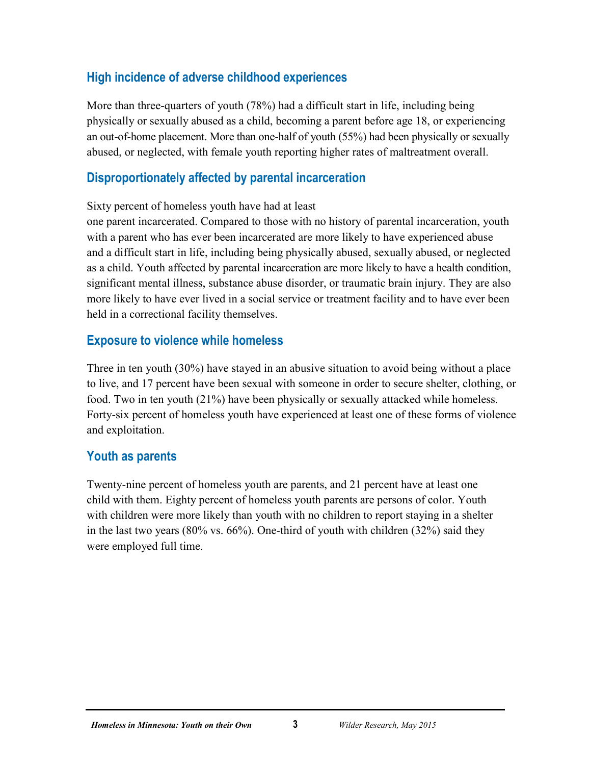# **High incidence of adverse childhood experiences**

More than three-quarters of youth (78%) had a difficult start in life, including being physically or sexually abused as a child, becoming a parent before age 18, or experiencing an out-of-home placement. More than one-half of youth (55%) had been physically or sexually abused, or neglected, with female youth reporting higher rates of maltreatment overall.

### **Disproportionately affected by parental incarceration**

Sixty percent of homeless youth have had at least

one parent incarcerated. Compared to those with no history of parental incarceration, youth with a parent who has ever been incarcerated are more likely to have experienced abuse and a difficult start in life, including being physically abused, sexually abused, or neglected as a child. Youth affected by parental incarceration are more likely to have a health condition, significant mental illness, substance abuse disorder, or traumatic brain injury. They are also more likely to have ever lived in a social service or treatment facility and to have ever been held in a correctional facility themselves.

### **Exposure to violence while homeless**

Three in ten youth (30%) have stayed in an abusive situation to avoid being without a place to live, and 17 percent have been sexual with someone in order to secure shelter, clothing, or food. Two in ten youth (21%) have been physically or sexually attacked while homeless. Forty-six percent of homeless youth have experienced at least one of these forms of violence and exploitation.

### **Youth as parents**

Twenty-nine percent of homeless youth are parents, and 21 percent have at least one child with them. Eighty percent of homeless youth parents are persons of color. Youth with children were more likely than youth with no children to report staying in a shelter in the last two years (80% vs. 66%). One-third of youth with children (32%) said they were employed full time.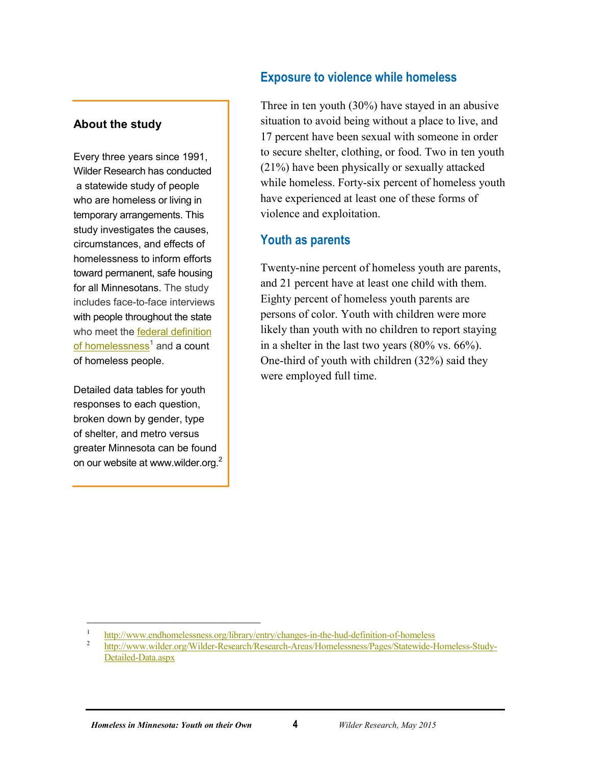#### **About the study**

Every three years since 1991, Wilder Research has conducted a statewide study of people who are homeless or living in temporary arrangements. This study investigates the causes, circumstances, and effects of homelessness to inform efforts toward permanent, safe housing for all Minnesotans. The study includes face-to-face interviews with people throughout the state who meet the [federal definition](http://www.endhomelessness.org/library/entry/changes-in-the-hud-definition-of-homeless)  of homelessness<sup>1</sup> and a count of homeless people.

Detailed data tables for youth responses to each question, broken down by gender, type of shelter, and metro versus greater Minnesota can be found on our website at www.wilder.org.2

### **Exposure to violence while homeless**

Three in ten youth (30%) have stayed in an abusive situation to avoid being without a place to live, and 17 percent have been sexual with someone in order to secure shelter, clothing, or food. Two in ten youth (21%) have been physically or sexually attacked while homeless. Forty-six percent of homeless youth have experienced at least one of these forms of violence and exploitation.

### **Youth as parents**

Twenty-nine percent of homeless youth are parents, and 21 percent have at least one child with them. Eighty percent of homeless youth parents are persons of color. Youth with children were more likely than youth with no children to report staying in a shelter in the last two years (80% vs. 66%). One-third of youth with children (32%) said they were employed full time.

 $\overline{\phantom{a}}$ 

<sup>&</sup>lt;sup>1</sup> <http://www.endhomelessness.org/library/entry/changes-in-the-hud-definition-of-homeless> 2<br><sup>2</sup> [http://www.wilder.org/Wilder-Research/Research-Areas/Homelessness/Pages/Statewide-Homeless-Study-](http://www.wilder.org/Wilder-Research/Research-Areas/Homelessness/Pages/Statewide-Homeless-Study-Detailed-Data.aspx)

[Detailed-Data.aspx](http://www.wilder.org/Wilder-Research/Research-Areas/Homelessness/Pages/Statewide-Homeless-Study-Detailed-Data.aspx)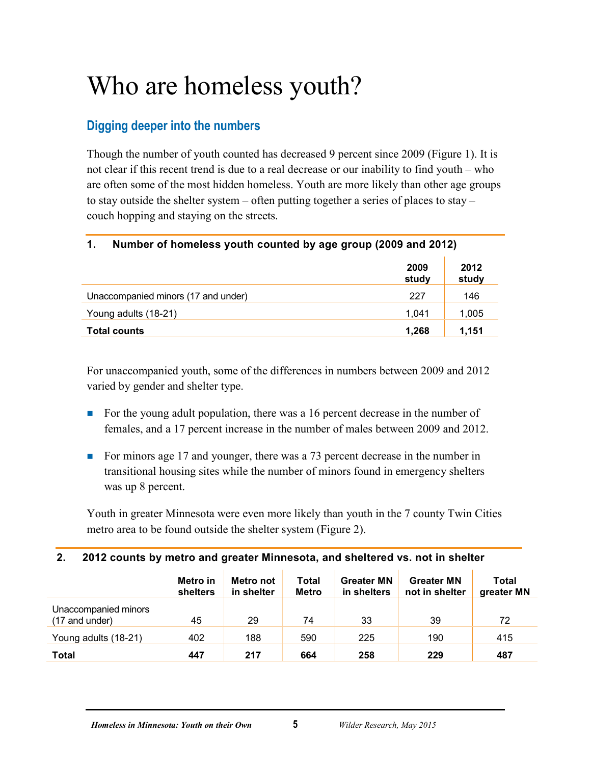# <span id="page-8-0"></span>Who are homeless youth?

# <span id="page-8-1"></span>**Digging deeper into the numbers**

Though the number of youth counted has decreased 9 percent since 2009 (Figure 1). It is not clear if this recent trend is due to a real decrease or our inability to find youth – who are often some of the most hidden homeless. Youth are more likely than other age groups to stay outside the shelter system – often putting together a series of places to stay – couch hopping and staying on the streets.

#### <span id="page-8-2"></span>**1. Number of homeless youth counted by age group (2009 and 2012)**

|                                     | 2009<br>study | 2012<br>study |
|-------------------------------------|---------------|---------------|
| Unaccompanied minors (17 and under) | 227           | 146           |
| Young adults (18-21)                | 1.041         | 1,005         |
| <b>Total counts</b>                 | 1,268         | 1.151         |

For unaccompanied youth, some of the differences in numbers between 2009 and 2012 varied by gender and shelter type.

- For the young adult population, there was a 16 percent decrease in the number of females, and a 17 percent increase in the number of males between 2009 and 2012.
- For minors age 17 and younger, there was a 73 percent decrease in the number in transitional housing sites while the number of minors found in emergency shelters was up 8 percent.

Youth in greater Minnesota were even more likely than youth in the 7 county Twin Cities metro area to be found outside the shelter system (Figure 2).

#### <span id="page-8-3"></span>**2. 2012 counts by metro and greater Minnesota, and sheltered vs. not in shelter**

|                                        | Metro in<br>shelters | Metro not<br>in shelter | Total<br><b>Metro</b> | <b>Greater MN</b><br>in shelters | <b>Greater MN</b><br>not in shelter | Total<br>greater MN |
|----------------------------------------|----------------------|-------------------------|-----------------------|----------------------------------|-------------------------------------|---------------------|
| Unaccompanied minors<br>(17 and under) | 45                   | 29                      | 74                    | 33                               | 39                                  | 72                  |
| Young adults (18-21)                   | 402                  | 188                     | 590                   | 225                              | 190                                 | 415                 |
| <b>Total</b>                           | 447                  | 217                     | 664                   | 258                              | 229                                 | 487                 |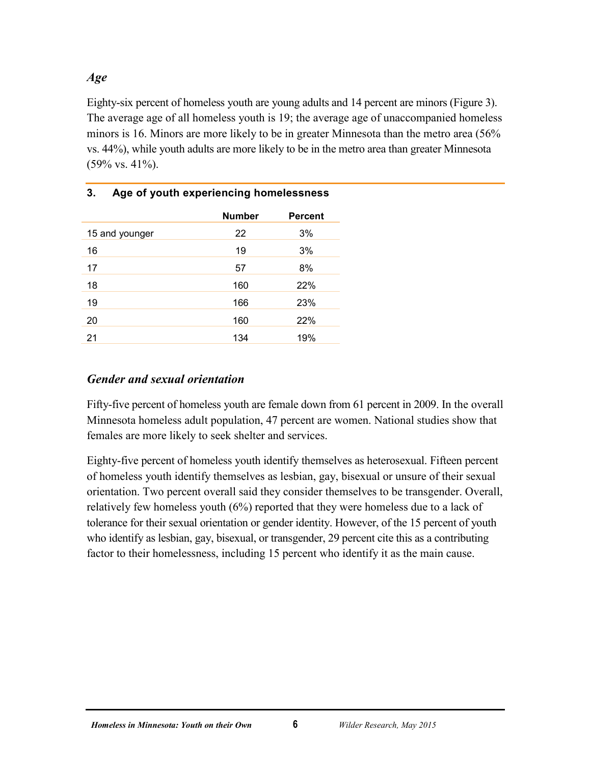#### *Age*

Eighty-six percent of homeless youth are young adults and 14 percent are minors (Figure 3). The average age of all homeless youth is 19; the average age of unaccompanied homeless minors is 16. Minors are more likely to be in greater Minnesota than the metro area (56% vs. 44%), while youth adults are more likely to be in the metro area than greater Minnesota (59% vs. 41%).

<span id="page-9-0"></span>

| Age of youth experiencing homelessness<br>3. |               |                |  |  |
|----------------------------------------------|---------------|----------------|--|--|
|                                              | <b>Number</b> | <b>Percent</b> |  |  |
| 15 and younger                               | 22            | 3%             |  |  |
| 16                                           | 19            | 3%             |  |  |
| 17                                           | 57            | 8%             |  |  |
| 18                                           | 160           | 22%            |  |  |
| 19                                           | 166           | 23%            |  |  |
| 20                                           | 160           | 22%            |  |  |
| 21                                           | 134           | 19%            |  |  |

#### *Gender and sexual orientation*

Fifty-five percent of homeless youth are female down from 61 percent in 2009. In the overall Minnesota homeless adult population, 47 percent are women. National studies show that females are more likely to seek shelter and services.

Eighty-five percent of homeless youth identify themselves as heterosexual. Fifteen percent of homeless youth identify themselves as lesbian, gay, bisexual or unsure of their sexual orientation. Two percent overall said they consider themselves to be transgender. Overall, relatively few homeless youth (6%) reported that they were homeless due to a lack of tolerance for their sexual orientation or gender identity. However, of the 15 percent of youth who identify as lesbian, gay, bisexual, or transgender, 29 percent cite this as a contributing factor to their homelessness, including 15 percent who identify it as the main cause.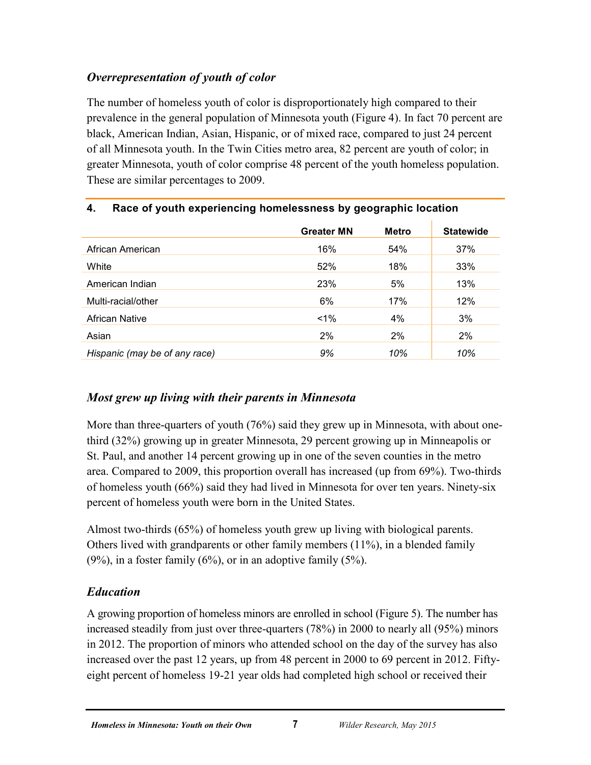# *Overrepresentation of youth of color*

The number of homeless youth of color is disproportionately high compared to their prevalence in the general population of Minnesota youth (Figure 4). In fact 70 percent are black, American Indian, Asian, Hispanic, or of mixed race, compared to just 24 percent of all Minnesota youth. In the Twin Cities metro area, 82 percent are youth of color; in greater Minnesota, youth of color comprise 48 percent of the youth homeless population. These are similar percentages to 2009.

|                               | <b>Greater MN</b> | <b>Metro</b> | <b>Statewide</b> |
|-------------------------------|-------------------|--------------|------------------|
| African American              | 16%               | 54%          | 37%              |
| White                         | 52%               | 18%          | 33%              |
| American Indian               | 23%               | 5%           | 13%              |
| Multi-racial/other            | 6%                | 17%          | 12%              |
| <b>African Native</b>         | $1\%$             | 4%           | 3%               |
| Asian                         | 2%                | 2%           | 2%               |
| Hispanic (may be of any race) | 9%                | 10%          | 10%              |

### <span id="page-10-0"></span>**4. Race of youth experiencing homelessness by geographic location**

# *Most grew up living with their parents in Minnesota*

More than three-quarters of youth (76%) said they grew up in Minnesota, with about onethird (32%) growing up in greater Minnesota, 29 percent growing up in Minneapolis or St. Paul, and another 14 percent growing up in one of the seven counties in the metro area. Compared to 2009, this proportion overall has increased (up from 69%). Two-thirds of homeless youth (66%) said they had lived in Minnesota for over ten years. Ninety-six percent of homeless youth were born in the United States.

Almost two-thirds (65%) of homeless youth grew up living with biological parents. Others lived with grandparents or other family members (11%), in a blended family  $(9\%)$ , in a foster family  $(6\%)$ , or in an adoptive family  $(5\%)$ .

# *Education*

A growing proportion of homeless minors are enrolled in school (Figure 5). The number has increased steadily from just over three-quarters (78%) in 2000 to nearly all (95%) minors in 2012. The proportion of minors who attended school on the day of the survey has also increased over the past 12 years, up from 48 percent in 2000 to 69 percent in 2012. Fiftyeight percent of homeless 19-21 year olds had completed high school or received their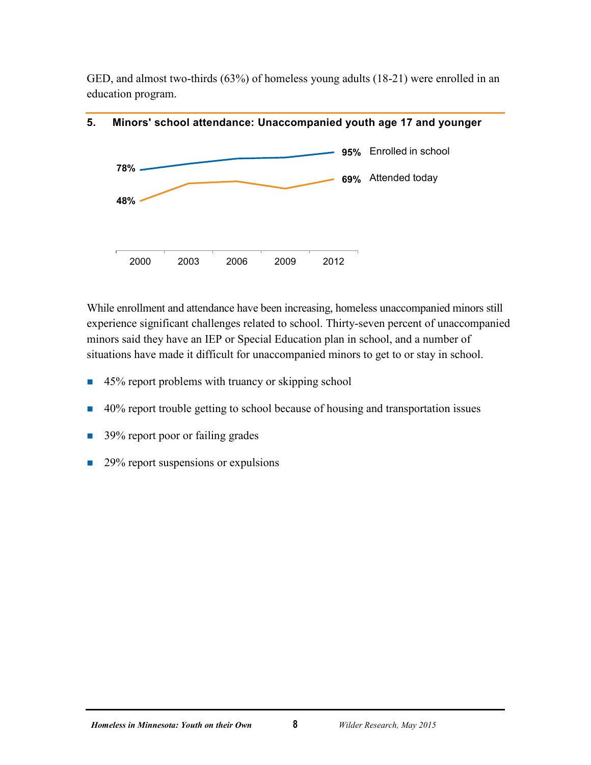GED, and almost two-thirds (63%) of homeless young adults (18-21) were enrolled in an education program.



#### <span id="page-11-0"></span>**5. Minors' school attendance: Unaccompanied youth age 17 and younger**

While enrollment and attendance have been increasing, homeless unaccompanied minors still experience significant challenges related to school. Thirty-seven percent of unaccompanied minors said they have an IEP or Special Education plan in school, and a number of situations have made it difficult for unaccompanied minors to get to or stay in school.

- 45% report problems with truancy or skipping school
- 40% report trouble getting to school because of housing and transportation issues
- 39% report poor or failing grades
- 29% report suspensions or expulsions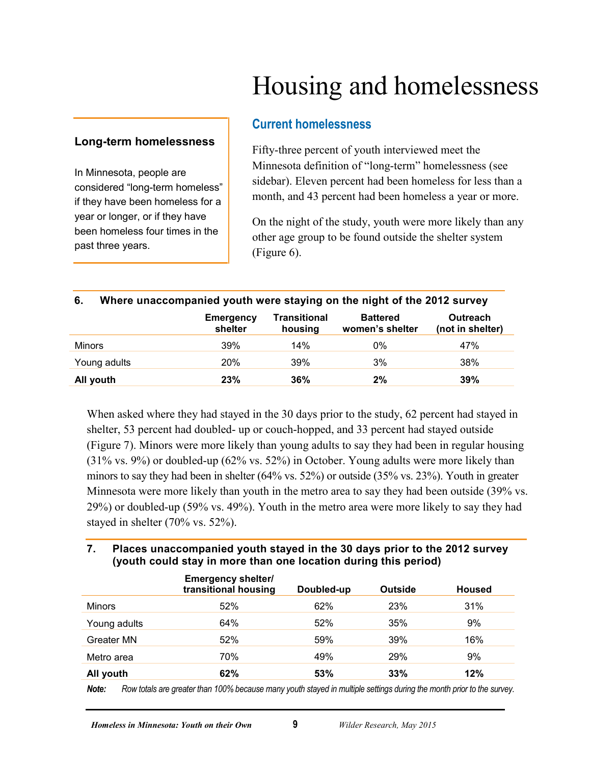# Housing and homelessness

#### <span id="page-12-1"></span><span id="page-12-0"></span>**Long-term homelessness**

In Minnesota, people are considered "long-term homeless" if they have been homeless for a year or longer, or if they have been homeless four times in the past three years.

#### **Current homelessness**

Fifty-three percent of youth interviewed meet the Minnesota definition of "long-term" homelessness (see sidebar). Eleven percent had been homeless for less than a month, and 43 percent had been homeless a year or more.

On the night of the study, youth were more likely than any other age group to be found outside the shelter system (Figure 6).

<span id="page-12-2"></span>

| 6.        |              |                             | Where unaccompanied youth were staying on the night of the 2012 survey |                                    |                              |  |  |
|-----------|--------------|-----------------------------|------------------------------------------------------------------------|------------------------------------|------------------------------|--|--|
|           |              | <b>Emergency</b><br>shelter | <b>Transitional</b><br>housing                                         | <b>Battered</b><br>women's shelter | Outreach<br>(not in shelter) |  |  |
| Minors    |              | 39%                         | 14%                                                                    | $0\%$                              | 47%                          |  |  |
|           | Young adults | <b>20%</b>                  | 39%                                                                    | 3%                                 | 38%                          |  |  |
| All youth |              | 23%                         | 36%                                                                    | 2%                                 | 39%                          |  |  |

When asked where they had stayed in the 30 days prior to the study, 62 percent had stayed in shelter, 53 percent had doubled- up or couch-hopped, and 33 percent had stayed outside (Figure 7). Minors were more likely than young adults to say they had been in regular housing (31% vs. 9%) or doubled-up (62% vs. 52%) in October. Young adults were more likely than minors to say they had been in shelter (64% vs. 52%) or outside (35% vs. 23%). Youth in greater Minnesota were more likely than youth in the metro area to say they had been outside (39% vs. 29%) or doubled-up (59% vs. 49%). Youth in the metro area were more likely to say they had stayed in shelter (70% vs. 52%).

#### <span id="page-12-3"></span>**7. Places unaccompanied youth stayed in the 30 days prior to the 2012 survey (youth could stay in more than one location during this period)**

|               | <b>Emergency shelter/</b><br>transitional housing | Doubled-up | <b>Outside</b> | <b>Housed</b> |
|---------------|---------------------------------------------------|------------|----------------|---------------|
| <b>Minors</b> | 52%                                               | 62%        | 23%            | 31%           |
| Young adults  | 64%                                               | 52%        | 35%            | 9%            |
| Greater MN    | 52%                                               | 59%        | 39%            | 16%           |
| Metro area    | 70%                                               | 49%        | 29%            | 9%            |
| All youth     | 62%                                               | 53%        | 33%            | 12%           |

*Note: Row totals are greater than 100% because many youth stayed in multiple settings during the month prior to the survey.*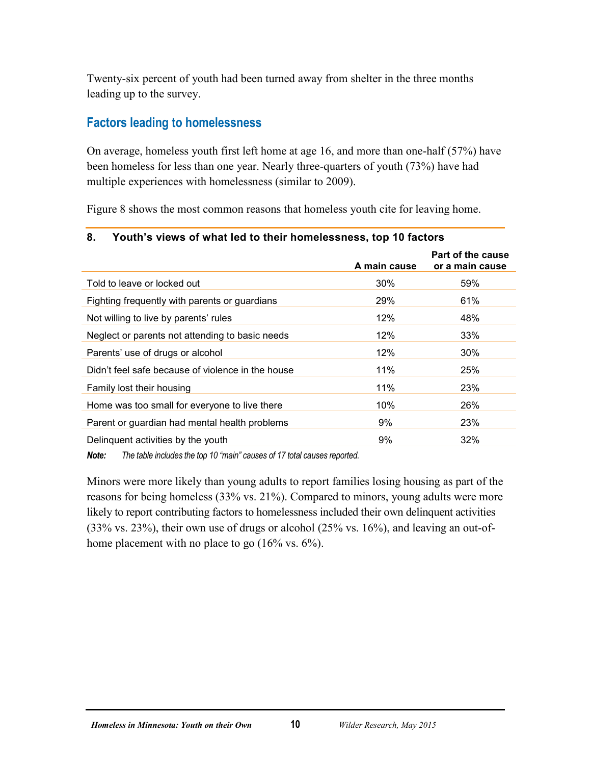Twenty-six percent of youth had been turned away from shelter in the three months leading up to the survey.

# <span id="page-13-0"></span>**Factors leading to homelessness**

On average, homeless youth first left home at age 16, and more than one-half (57%) have been homeless for less than one year. Nearly three-quarters of youth (73%) have had multiple experiences with homelessness (similar to 2009).

Figure 8 shows the most common reasons that homeless youth cite for leaving home.

| о.<br><b>FOULD S VIEWS OF WHAT IED TO THEIR HOMELESSITESS, TOP TO TACTORS</b> |              |                                      |  |  |  |  |
|-------------------------------------------------------------------------------|--------------|--------------------------------------|--|--|--|--|
|                                                                               | A main cause | Part of the cause<br>or a main cause |  |  |  |  |
| Told to leave or locked out                                                   | $30\%$       | 59%                                  |  |  |  |  |
| Fighting frequently with parents or guardians                                 | 29%          | 61%                                  |  |  |  |  |
| Not willing to live by parents' rules                                         | 12%          | 48%                                  |  |  |  |  |
| Neglect or parents not attending to basic needs                               | 12%          | 33%                                  |  |  |  |  |
| Parents' use of drugs or alcohol                                              | 12%          | 30%                                  |  |  |  |  |
| Didn't feel safe because of violence in the house                             | 11%          | 25%                                  |  |  |  |  |
| Family lost their housing                                                     | 11%          | 23%                                  |  |  |  |  |
| Home was too small for everyone to live there                                 | 10%          | 26%                                  |  |  |  |  |
| Parent or guardian had mental health problems                                 | 9%           | 23%                                  |  |  |  |  |
| Delinguent activities by the youth                                            | 9%           | 32%                                  |  |  |  |  |
|                                                                               |              |                                      |  |  |  |  |

# <span id="page-13-1"></span>**8. Youth's views of what led to their homelessness, top 10 factors**

*Note: The table includes the top 10 "main" causes of 17 total causes reported.*

Minors were more likely than young adults to report families losing housing as part of the reasons for being homeless (33% vs. 21%). Compared to minors, young adults were more likely to report contributing factors to homelessness included their own delinquent activities (33% vs. 23%), their own use of drugs or alcohol (25% vs. 16%), and leaving an out-ofhome placement with no place to go (16% vs. 6%).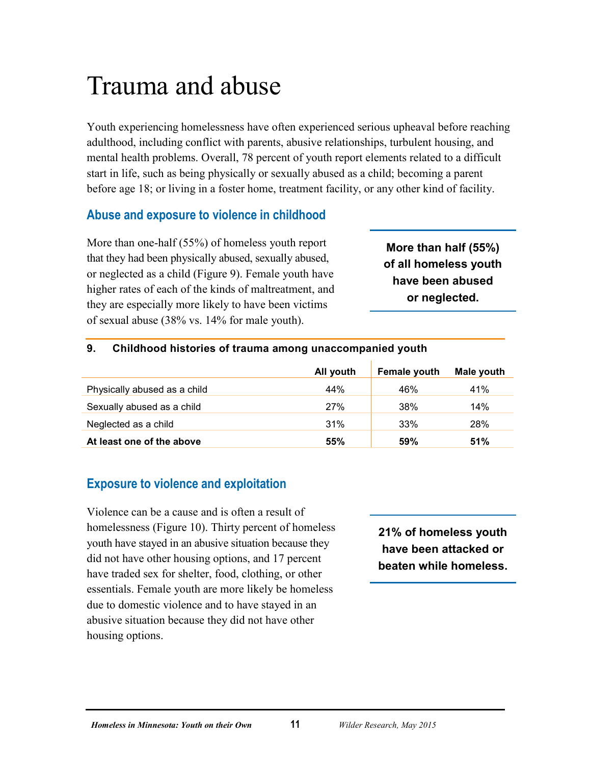# <span id="page-14-0"></span>Trauma and abuse

Youth experiencing homelessness have often experienced serious upheaval before reaching adulthood, including conflict with parents, abusive relationships, turbulent housing, and mental health problems. Overall, 78 percent of youth report elements related to a difficult start in life, such as being physically or sexually abused as a child; becoming a parent before age 18; or living in a foster home, treatment facility, or any other kind of facility.

# <span id="page-14-1"></span>**Abuse and exposure to violence in childhood**

More than one-half (55%) of homeless youth report that they had been physically abused, sexually abused, or neglected as a child (Figure 9). Female youth have higher rates of each of the kinds of maltreatment, and they are especially more likely to have been victims of sexual abuse (38% vs. 14% for male youth).

**More than half (55%) of all homeless youth have been abused or neglected.**

#### <span id="page-14-3"></span>**9. Childhood histories of trauma among unaccompanied youth**

|                              | All youth | <b>Female youth</b> | Male youth |
|------------------------------|-----------|---------------------|------------|
| Physically abused as a child | 44%       | 46%                 | 41%        |
| Sexually abused as a child   | 27%       | 38%                 | 14%        |
| Neglected as a child         | 31%       | 33%                 | 28%        |
| At least one of the above    | 55%       | 59%                 | 51%        |

# <span id="page-14-2"></span>**Exposure to violence and exploitation**

Violence can be a cause and is often a result of homelessness (Figure 10). Thirty percent of homeless youth have stayed in an abusive situation because they did not have other housing options, and 17 percent have traded sex for shelter, food, clothing, or other essentials. Female youth are more likely be homeless due to domestic violence and to have stayed in an abusive situation because they did not have other housing options.

**21% of homeless youth have been attacked or beaten while homeless.**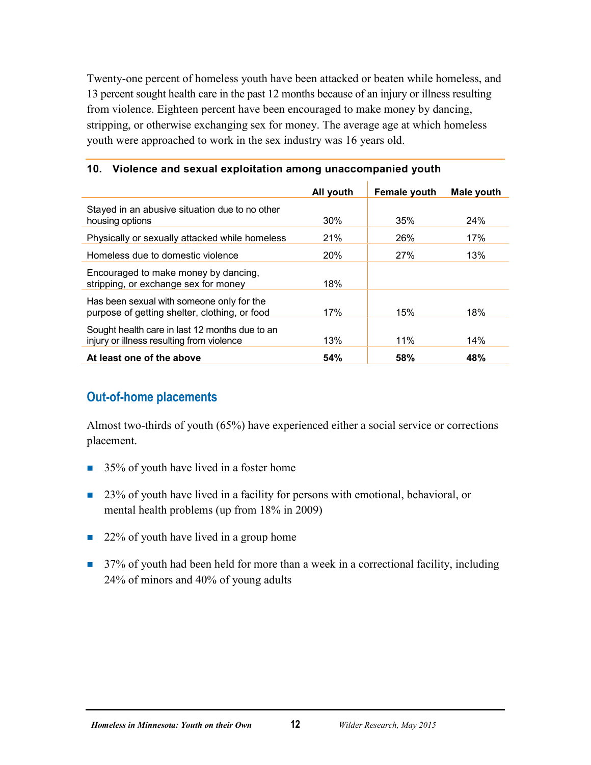Twenty-one percent of homeless youth have been attacked or beaten while homeless, and 13 percent sought health care in the past 12 months because of an injury or illness resulting from violence. Eighteen percent have been encouraged to make money by dancing, stripping, or otherwise exchanging sex for money. The average age at which homeless youth were approached to work in the sex industry was 16 years old.

|                                                                                             | All youth  | <b>Female youth</b> | Male youth |
|---------------------------------------------------------------------------------------------|------------|---------------------|------------|
| Stayed in an abusive situation due to no other<br>housing options                           | $30\%$     | 35%                 | 24%        |
| Physically or sexually attacked while homeless                                              | <b>21%</b> | 26%                 | 17%        |
| Homeless due to domestic violence                                                           | <b>20%</b> | 27%                 | 13%        |
| Encouraged to make money by dancing,<br>stripping, or exchange sex for money                | 18%        |                     |            |
| Has been sexual with someone only for the<br>purpose of getting shelter, clothing, or food  | 17%        | 15%                 | 18%        |
| Sought health care in last 12 months due to an<br>injury or illness resulting from violence | 13%        | 11%                 | 14%        |
| At least one of the above                                                                   | 54%        | 58%                 | 48%        |

#### <span id="page-15-1"></span>**10. Violence and sexual exploitation among unaccompanied youth**

#### <span id="page-15-0"></span>**Out-of-home placements**

Almost two-thirds of youth (65%) have experienced either a social service or corrections placement.

- 35% of youth have lived in a foster home
- 23% of youth have lived in a facility for persons with emotional, behavioral, or mental health problems (up from 18% in 2009)
- 22% of youth have lived in a group home
- 37% of youth had been held for more than a week in a correctional facility, including 24% of minors and 40% of young adults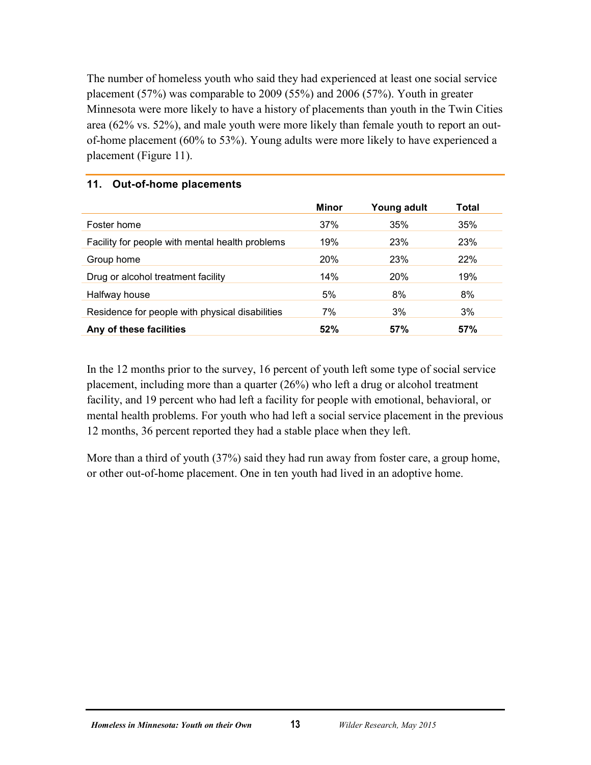The number of homeless youth who said they had experienced at least one social service placement (57%) was comparable to 2009 (55%) and 2006 (57%). Youth in greater Minnesota were more likely to have a history of placements than youth in the Twin Cities area (62% vs. 52%), and male youth were more likely than female youth to report an outof-home placement (60% to 53%). Young adults were more likely to have experienced a placement (Figure 11).

|                                                 | Minor | Young adult | Total |  |
|-------------------------------------------------|-------|-------------|-------|--|
| Foster home                                     | 37%   | 35%         | 35%   |  |
| Facility for people with mental health problems | 19%   | 23%         | 23%   |  |
| Group home                                      | 20%   | 23%         | 22%   |  |
| Drug or alcohol treatment facility              | 14%   | <b>20%</b>  | 19%   |  |
| Halfway house                                   | 5%    | 8%          | 8%    |  |
| Residence for people with physical disabilities | 7%    | 3%          | 3%    |  |
| Any of these facilities                         | 52%   | 57%         | 57%   |  |

#### <span id="page-16-0"></span>**11. Out-of-home placements**

In the 12 months prior to the survey, 16 percent of youth left some type of social service placement, including more than a quarter (26%) who left a drug or alcohol treatment facility, and 19 percent who had left a facility for people with emotional, behavioral, or mental health problems. For youth who had left a social service placement in the previous 12 months, 36 percent reported they had a stable place when they left.

More than a third of youth (37%) said they had run away from foster care, a group home, or other out-of-home placement. One in ten youth had lived in an adoptive home.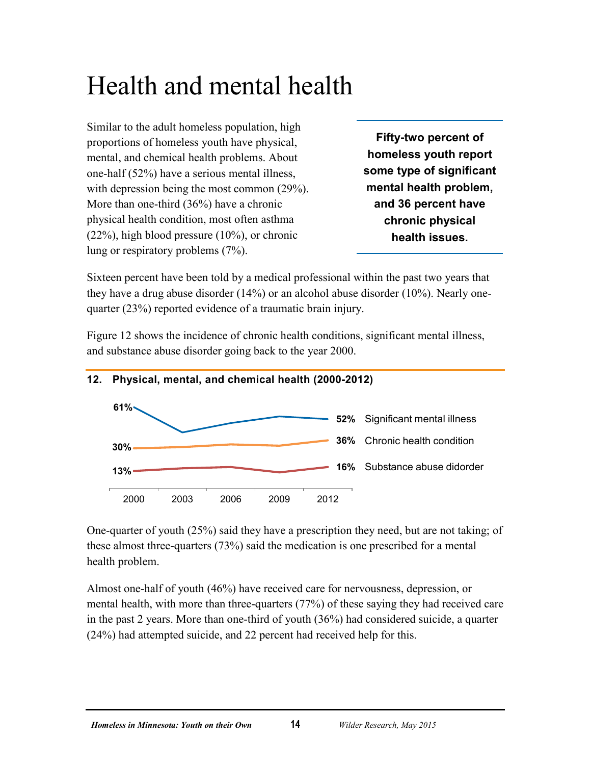# <span id="page-17-0"></span>Health and mental health

Similar to the adult homeless population, high proportions of homeless youth have physical, mental, and chemical health problems. About one-half (52%) have a serious mental illness, with depression being the most common  $(29\%)$ . More than one-third (36%) have a chronic physical health condition, most often asthma (22%), high blood pressure (10%), or chronic lung or respiratory problems (7%).

**Fifty-two percent of homeless youth report some type of significant mental health problem, and 36 percent have chronic physical health issues.**

Sixteen percent have been told by a medical professional within the past two years that they have a drug abuse disorder (14%) or an alcohol abuse disorder (10%). Nearly onequarter (23%) reported evidence of a traumatic brain injury.

Figure 12 shows the incidence of chronic health conditions, significant mental illness, and substance abuse disorder going back to the year 2000.



#### <span id="page-17-1"></span>**12. Physical, mental, and chemical health (2000-2012)**

One-quarter of youth (25%) said they have a prescription they need, but are not taking; of these almost three-quarters (73%) said the medication is one prescribed for a mental health problem.

Almost one-half of youth (46%) have received care for nervousness, depression, or mental health, with more than three-quarters (77%) of these saying they had received care in the past 2 years. More than one-third of youth (36%) had considered suicide, a quarter (24%) had attempted suicide, and 22 percent had received help for this.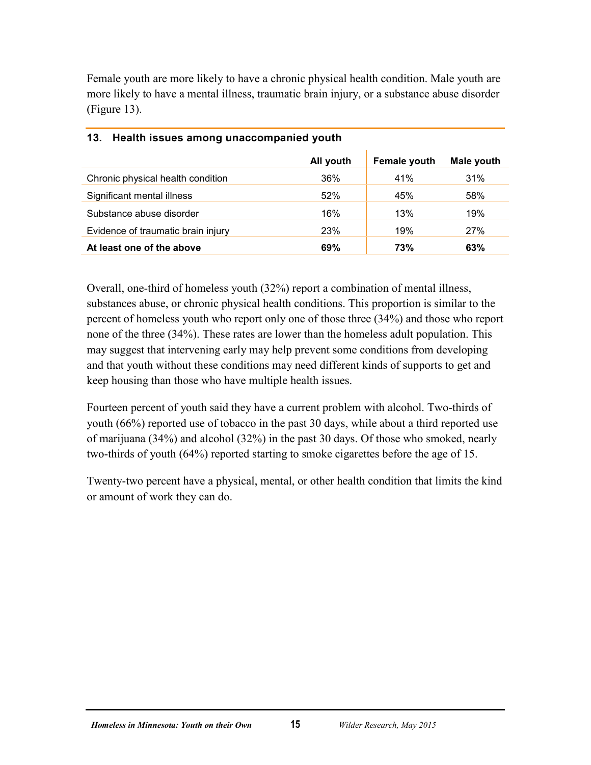Female youth are more likely to have a chronic physical health condition. Male youth are more likely to have a mental illness, traumatic brain injury, or a substance abuse disorder (Figure 13).

|                                    | All youth | <b>Female youth</b> | Male youth |
|------------------------------------|-----------|---------------------|------------|
| Chronic physical health condition  | 36%       | 41%                 | 31%        |
| Significant mental illness         | 52%       | 45%                 | 58%        |
| Substance abuse disorder           | 16%       | 13%                 | 19%        |
| Evidence of traumatic brain injury | 23%       | 19%                 | <b>27%</b> |
| At least one of the above          | 69%       | 73%                 | 63%        |

#### <span id="page-18-0"></span>**13. Health issues among unaccompanied youth**

Overall, one-third of homeless youth (32%) report a combination of mental illness, substances abuse, or chronic physical health conditions. This proportion is similar to the percent of homeless youth who report only one of those three (34%) and those who report none of the three (34%). These rates are lower than the homeless adult population. This may suggest that intervening early may help prevent some conditions from developing and that youth without these conditions may need different kinds of supports to get and keep housing than those who have multiple health issues.

Fourteen percent of youth said they have a current problem with alcohol. Two-thirds of youth (66%) reported use of tobacco in the past 30 days, while about a third reported use of marijuana (34%) and alcohol (32%) in the past 30 days. Of those who smoked, nearly two-thirds of youth (64%) reported starting to smoke cigarettes before the age of 15.

Twenty-two percent have a physical, mental, or other health condition that limits the kind or amount of work they can do.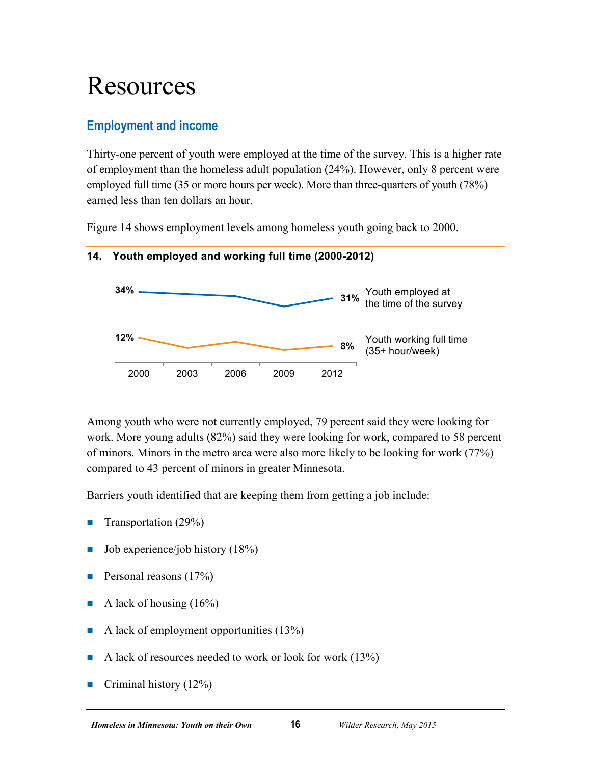# <span id="page-19-0"></span>Resources

# <span id="page-19-1"></span>**Employment and income**

Thirty-one percent of youth were employed at the time of the survey. This is a higher rate of employment than the homeless adult population (24%). However, only 8 percent were employed full time (35 or more hours per week). More than three-quarters of youth (78%) earned less than ten dollars an hour.

Figure 14 shows employment levels among homeless youth going back to 2000.



#### <span id="page-19-2"></span>**14. Youth employed and working full time (2000-2012)**

Among youth who were not currently employed, 79 percent said they were looking for work. More young adults (82%) said they were looking for work, compared to 58 percent of minors. Minors in the metro area were also more likely to be looking for work (77%) compared to 43 percent of minors in greater Minnesota.

Barriers youth identified that are keeping them from getting a job include:

- **Transportation (29%)**
- $\blacksquare$  Job experience/job history (18%)
- **Personal reasons (17%)**
- A lack of housing  $(16\%)$
- A lack of employment opportunities  $(13%)$
- A lack of resources needed to work or look for work  $(13%)$
- Criminal history  $(12\%)$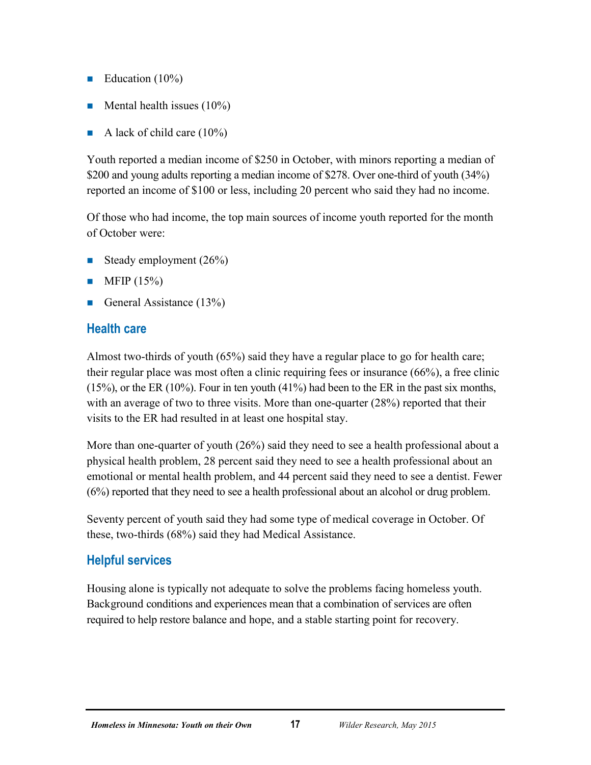- Education  $(10\%)$
- **Mental health issues (10%)**
- A lack of child care  $(10\%)$

Youth reported a median income of \$250 in October, with minors reporting a median of \$200 and young adults reporting a median income of \$278. Over one-third of youth (34%) reported an income of \$100 or less, including 20 percent who said they had no income.

Of those who had income, the top main sources of income youth reported for the month of October were:

- Steady employment (26%)
- $\blacksquare$  MFIP (15%)
- General Assistance  $(13\%)$

# <span id="page-20-0"></span>**Health care**

Almost two-thirds of youth (65%) said they have a regular place to go for health care; their regular place was most often a clinic requiring fees or insurance (66%), a free clinic (15%), or the ER (10%). Four in ten youth (41%) had been to the ER in the past six months, with an average of two to three visits. More than one-quarter (28%) reported that their visits to the ER had resulted in at least one hospital stay.

More than one-quarter of youth (26%) said they need to see a health professional about a physical health problem, 28 percent said they need to see a health professional about an emotional or mental health problem, and 44 percent said they need to see a dentist. Fewer (6%) reported that they need to see a health professional about an alcohol or drug problem.

Seventy percent of youth said they had some type of medical coverage in October. Of these, two-thirds (68%) said they had Medical Assistance.

# <span id="page-20-1"></span>**Helpful services**

Housing alone is typically not adequate to solve the problems facing homeless youth. Background conditions and experiences mean that a combination of services are often required to help restore balance and hope, and a stable starting point for recovery.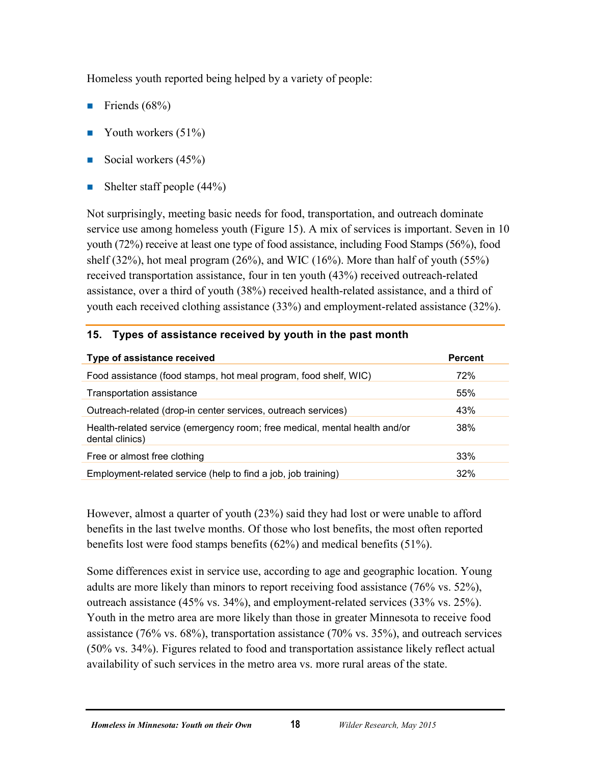Homeless youth reported being helped by a variety of people:

- Friends  $(68\%)$
- Youth workers  $(51\%)$
- Social workers  $(45%)$
- Shelter staff people  $(44\%)$

Not surprisingly, meeting basic needs for food, transportation, and outreach dominate service use among homeless youth (Figure 15). A mix of services is important. Seven in 10 youth (72%) receive at least one type of food assistance, including Food Stamps (56%), food shelf (32%), hot meal program (26%), and WIC (16%). More than half of youth (55%) received transportation assistance, four in ten youth (43%) received outreach-related assistance, over a third of youth (38%) received health-related assistance, and a third of youth each received clothing assistance (33%) and employment-related assistance (32%).

| Type of assistance received                                                                   | <b>Percent</b> |
|-----------------------------------------------------------------------------------------------|----------------|
| Food assistance (food stamps, hot meal program, food shelf, WIC)                              | 72%            |
| Transportation assistance                                                                     | 55%            |
| Outreach-related (drop-in center services, outreach services)                                 | 43%            |
| Health-related service (emergency room; free medical, mental health and/or<br>dental clinics) | 38%            |
| Free or almost free clothing                                                                  | 33%            |
| Employment-related service (help to find a job, job training)                                 | 32%            |

#### <span id="page-21-0"></span>**15. Types of assistance received by youth in the past month**

However, almost a quarter of youth (23%) said they had lost or were unable to afford benefits in the last twelve months. Of those who lost benefits, the most often reported benefits lost were food stamps benefits (62%) and medical benefits (51%).

Some differences exist in service use, according to age and geographic location. Young adults are more likely than minors to report receiving food assistance (76% vs. 52%), outreach assistance (45% vs. 34%), and employment-related services (33% vs. 25%). Youth in the metro area are more likely than those in greater Minnesota to receive food assistance (76% vs. 68%), transportation assistance (70% vs. 35%), and outreach services (50% vs. 34%). Figures related to food and transportation assistance likely reflect actual availability of such services in the metro area vs. more rural areas of the state.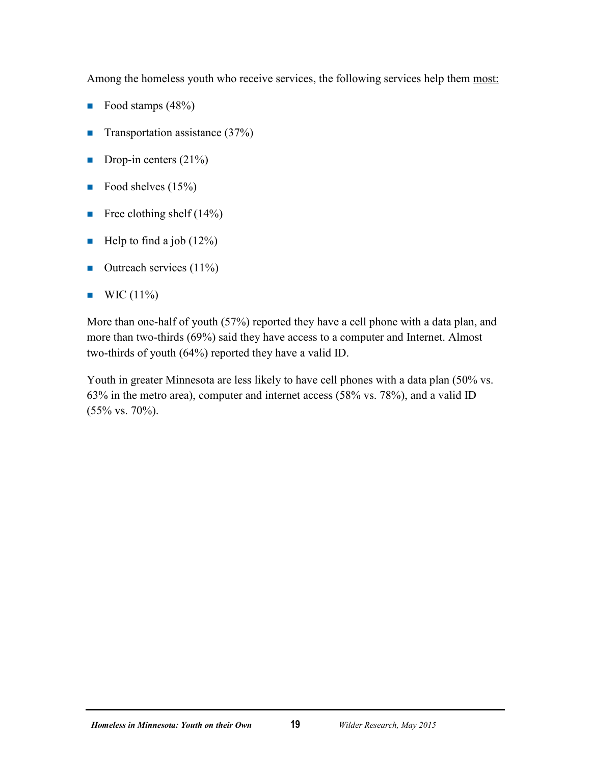Among the homeless youth who receive services, the following services help them most:

- Food stamps  $(48%)$
- **Transportation assistance (37%)**
- Drop-in centers  $(21\%)$
- Food shelves  $(15%)$
- Free clothing shelf  $(14\%)$
- Help to find a job  $(12\%)$
- $\blacksquare$  Outreach services (11%)
- $\blacksquare$  WIC (11%)

More than one-half of youth (57%) reported they have a cell phone with a data plan, and more than two-thirds (69%) said they have access to a computer and Internet. Almost two-thirds of youth (64%) reported they have a valid ID.

Youth in greater Minnesota are less likely to have cell phones with a data plan (50% vs. 63% in the metro area), computer and internet access (58% vs. 78%), and a valid ID (55% vs. 70%).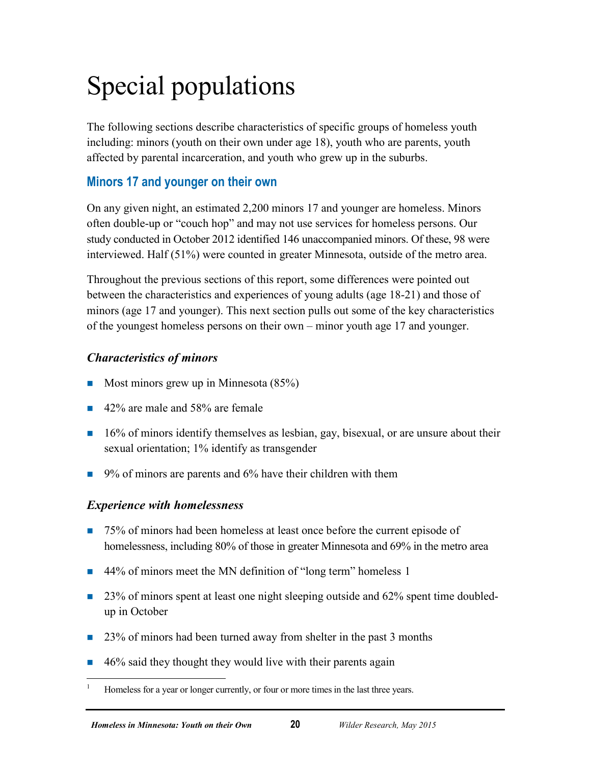# <span id="page-23-0"></span>Special populations

The following sections describe characteristics of specific groups of homeless youth including: minors (youth on their own under age 18), youth who are parents, youth affected by parental incarceration, and youth who grew up in the suburbs.

# <span id="page-23-1"></span>**Minors 17 and younger on their own**

On any given night, an estimated 2,200 minors 17 and younger are homeless. Minors often double-up or "couch hop" and may not use services for homeless persons. Our study conducted in October 2012 identified 146 unaccompanied minors. Of these, 98 were interviewed. Half (51%) were counted in greater Minnesota, outside of the metro area.

Throughout the previous sections of this report, some differences were pointed out between the characteristics and experiences of young adults (age 18-21) and those of minors (age 17 and younger). This next section pulls out some of the key characteristics of the youngest homeless persons on their own – minor youth age 17 and younger.

### *Characteristics of minors*

- Most minors grew up in Minnesota  $(85%)$
- 42% are male and 58% are female
- $\blacksquare$  16% of minors identify themselves as lesbian, gay, bisexual, or are unsure about their sexual orientation; 1% identify as transgender
- $\Box$  9% of minors are parents and 6% have their children with them

### *Experience with homelessness*

- 75% of minors had been homeless at least once before the current episode of homelessness, including 80% of those in greater Minnesota and 69% in the metro area
- 44% of minors meet the MN definition of "long term" homeless [1](#page-23-2)
- $\Box$  23% of minors spent at least one night sleeping outside and 62% spent time doubledup in October
- 23% of minors had been turned away from shelter in the past 3 months
- $\blacksquare$  46% said they thought they would live with their parents again

<span id="page-23-2"></span> <sup>1</sup> Homeless for a year or longer currently, or four or more times in the last three years.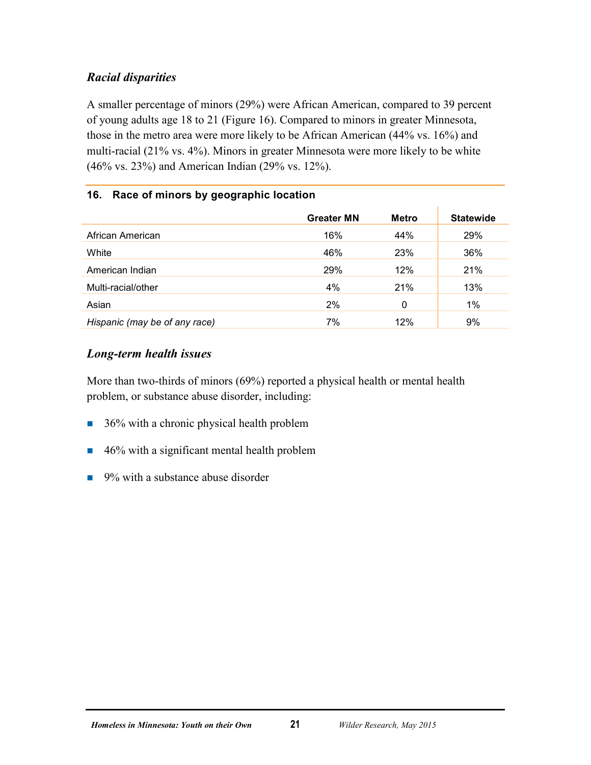### *Racial disparities*

A smaller percentage of minors (29%) were African American, compared to 39 percent of young adults age 18 to 21 (Figure 16). Compared to minors in greater Minnesota, those in the metro area were more likely to be African American (44% vs. 16%) and multi-racial (21% vs. 4%). Minors in greater Minnesota were more likely to be white (46% vs. 23%) and American Indian (29% vs. 12%).

#### <span id="page-24-0"></span>**16. Race of minors by geographic location**

|                               | <b>Greater MN</b> | <b>Metro</b> | <b>Statewide</b> |
|-------------------------------|-------------------|--------------|------------------|
| African American              | 16%               | 44%          | 29%              |
| White                         | 46%               | 23%          | 36%              |
| American Indian               | 29%               | 12%          | 21%              |
| Multi-racial/other            | 4%                | 21%          | 13%              |
| Asian                         | 2%                | 0            | 1%               |
| Hispanic (may be of any race) | 7%                | 12%          | 9%               |

### *Long-term health issues*

More than two-thirds of minors (69%) reported a physical health or mental health problem, or substance abuse disorder, including:

- $\blacksquare$  36% with a chronic physical health problem
- 46% with a significant mental health problem
- $\Box$  9% with a substance abuse disorder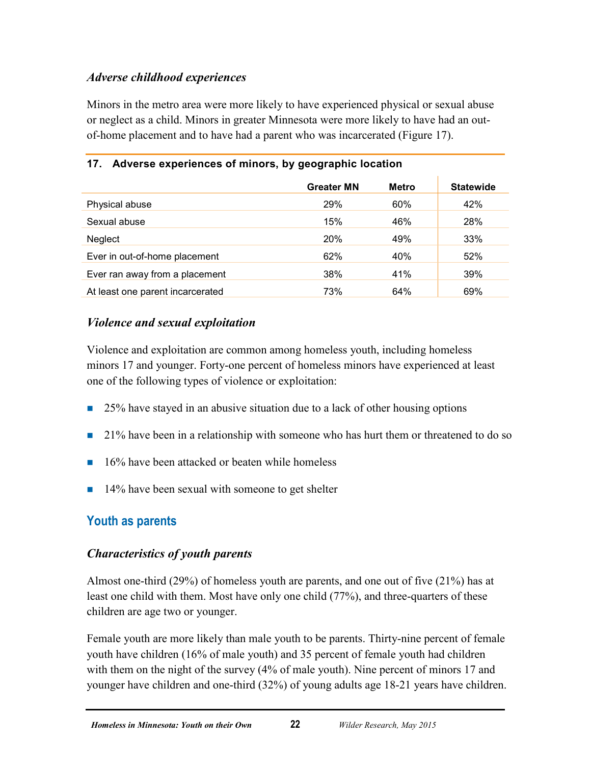### *Adverse childhood experiences*

Minors in the metro area were more likely to have experienced physical or sexual abuse or neglect as a child. Minors in greater Minnesota were more likely to have had an outof-home placement and to have had a parent who was incarcerated (Figure 17).

|                                  | <b>Greater MN</b> | <b>Metro</b> | <b>Statewide</b> |
|----------------------------------|-------------------|--------------|------------------|
| Physical abuse                   | 29%               | 60%          | 42%              |
| Sexual abuse                     | 15%               | 46%          | 28%              |
| Neglect                          | 20%               | 49%          | 33%              |
| Ever in out-of-home placement    | 62%               | 40%          | 52%              |
| Ever ran away from a placement   | 38%               | 41%          | 39%              |
| At least one parent incarcerated | 73%               | 64%          | 69%              |

#### <span id="page-25-1"></span>**17. Adverse experiences of minors, by geographic location**

#### *Violence and sexual exploitation*

Violence and exploitation are common among homeless youth, including homeless minors 17 and younger. Forty-one percent of homeless minors have experienced at least one of the following types of violence or exploitation:

- 25% have stayed in an abusive situation due to a lack of other housing options
- 21% have been in a relationship with someone who has hurt them or threatened to do so
- $\blacksquare$  16% have been attacked or beaten while homeless
- $\blacksquare$  14% have been sexual with someone to get shelter

# <span id="page-25-0"></span>**Youth as parents**

### *Characteristics of youth parents*

Almost one-third (29%) of homeless youth are parents, and one out of five (21%) has at least one child with them. Most have only one child (77%), and three-quarters of these children are age two or younger.

Female youth are more likely than male youth to be parents. Thirty-nine percent of female youth have children (16% of male youth) and 35 percent of female youth had children with them on the night of the survey (4% of male youth). Nine percent of minors 17 and younger have children and one-third (32%) of young adults age 18-21 years have children.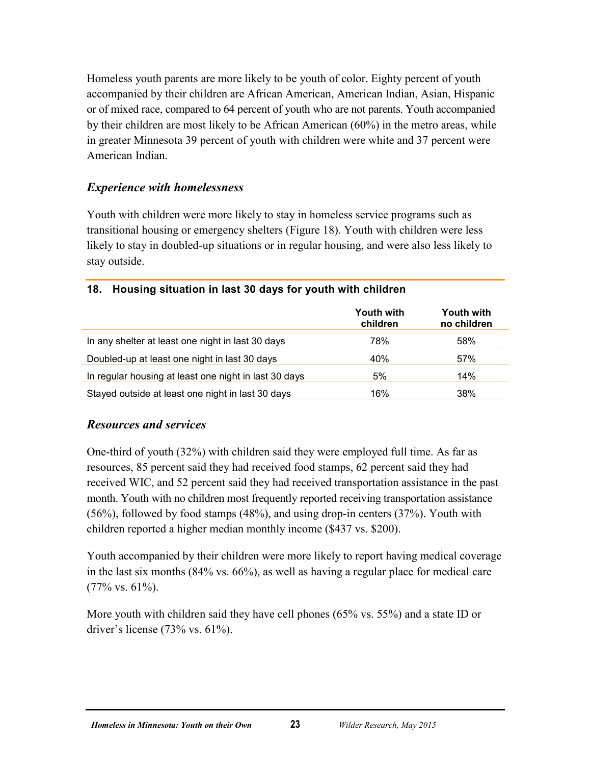Homeless youth parents are more likely to be youth of color. Eighty percent of youth accompanied by their children are African American, American Indian, Asian, Hispanic or of mixed race, compared to 64 percent of youth who are not parents. Youth accompanied by their children are most likely to be African American (60%) in the metro areas, while in greater Minnesota 39 percent of youth with children were white and 37 percent were American Indian.

#### *Experience with homelessness*

Youth with children were more likely to stay in homeless service programs such as transitional housing or emergency shelters (Figure 18). Youth with children were less likely to stay in doubled-up situations or in regular housing, and were also less likely to stay outside.

|                                                       | <b>Youth with</b><br>children | Youth with<br>no children |
|-------------------------------------------------------|-------------------------------|---------------------------|
| In any shelter at least one night in last 30 days     | 78%                           | 58%                       |
| Doubled-up at least one night in last 30 days         | 40%                           | 57%                       |
| In regular housing at least one night in last 30 days | 5%                            | 14%                       |
| Stayed outside at least one night in last 30 days     | 16%                           | 38%                       |

#### <span id="page-26-0"></span>**18. Housing situation in last 30 days for youth with children**

#### *Resources and services*

One-third of youth (32%) with children said they were employed full time. As far as resources, 85 percent said they had received food stamps, 62 percent said they had received WIC, and 52 percent said they had received transportation assistance in the past month. Youth with no children most frequently reported receiving transportation assistance (56%), followed by food stamps (48%), and using drop-in centers (37%). Youth with children reported a higher median monthly income (\$437 vs. \$200).

Youth accompanied by their children were more likely to report having medical coverage in the last six months (84% vs. 66%), as well as having a regular place for medical care (77% vs. 61%).

More youth with children said they have cell phones (65% vs. 55%) and a state ID or driver's license (73% vs. 61%).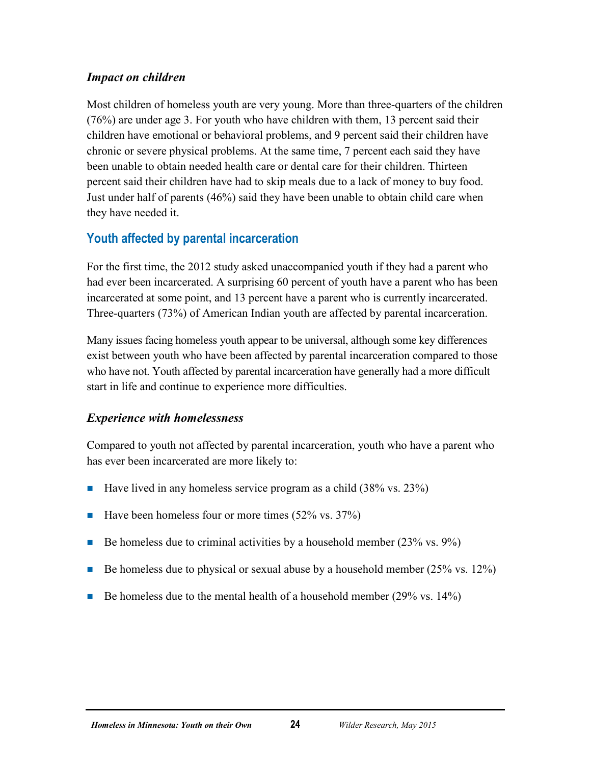#### *Impact on children*

Most children of homeless youth are very young. More than three-quarters of the children (76%) are under age 3. For youth who have children with them, 13 percent said their children have emotional or behavioral problems, and 9 percent said their children have chronic or severe physical problems. At the same time, 7 percent each said they have been unable to obtain needed health care or dental care for their children. Thirteen percent said their children have had to skip meals due to a lack of money to buy food. Just under half of parents (46%) said they have been unable to obtain child care when they have needed it.

# <span id="page-27-0"></span>**Youth affected by parental incarceration**

For the first time, the 2012 study asked unaccompanied youth if they had a parent who had ever been incarcerated. A surprising 60 percent of youth have a parent who has been incarcerated at some point, and 13 percent have a parent who is currently incarcerated. Three-quarters (73%) of American Indian youth are affected by parental incarceration.

Many issues facing homeless youth appear to be universal, although some key differences exist between youth who have been affected by parental incarceration compared to those who have not. Youth affected by parental incarceration have generally had a more difficult start in life and continue to experience more difficulties.

### *Experience with homelessness*

Compared to youth not affected by parental incarceration, youth who have a parent who has ever been incarcerated are more likely to:

- Have lived in any homeless service program as a child  $(38\% \text{ vs. } 23\%)$
- Have been homeless four or more times  $(52\% \text{ vs. } 37\%)$
- Be homeless due to criminal activities by a household member  $(23\% \text{ vs. } 9\%)$
- Be homeless due to physical or sexual abuse by a household member  $(25\% \text{ vs. } 12\%)$
- Be homeless due to the mental health of a household member  $(29\% \text{ vs. } 14\%)$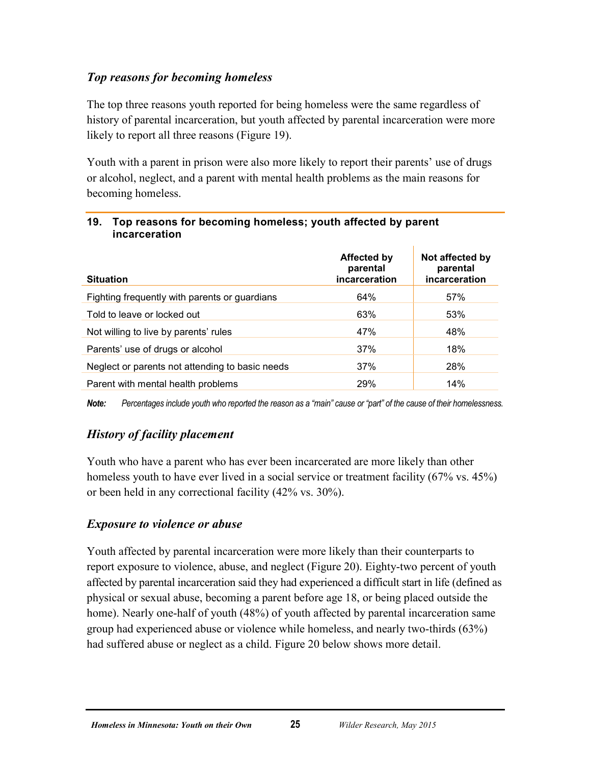### *Top reasons for becoming homeless*

The top three reasons youth reported for being homeless were the same regardless of history of parental incarceration, but youth affected by parental incarceration were more likely to report all three reasons (Figure 19).

Youth with a parent in prison were also more likely to report their parents' use of drugs or alcohol, neglect, and a parent with mental health problems as the main reasons for becoming homeless.

| <b>Situation</b>                                | Affected by<br>parental<br>incarceration | Not affected by<br>parental<br>incarceration |
|-------------------------------------------------|------------------------------------------|----------------------------------------------|
| Fighting frequently with parents or guardians   | 64%                                      | 57%                                          |
| Told to leave or locked out                     | 63%                                      | 53%                                          |
| Not willing to live by parents' rules           | 47%                                      | 48%                                          |
| Parents' use of drugs or alcohol                | 37%                                      | 18%                                          |
| Neglect or parents not attending to basic needs | 37%                                      | 28%                                          |
| Parent with mental health problems              | 29%                                      | 14%                                          |

#### <span id="page-28-0"></span>**19. Top reasons for becoming homeless; youth affected by parent incarceration**

*Note: Percentages include youth who reported the reason as a "main" cause or "part" of the cause of their homelessness.*

# *History of facility placement*

Youth who have a parent who has ever been incarcerated are more likely than other homeless youth to have ever lived in a social service or treatment facility (67% vs. 45%) or been held in any correctional facility (42% vs. 30%).

### *Exposure to violence or abuse*

Youth affected by parental incarceration were more likely than their counterparts to report exposure to violence, abuse, and neglect (Figure 20). Eighty-two percent of youth affected by parental incarceration said they had experienced a difficult start in life (defined as physical or sexual abuse, becoming a parent before age 18, or being placed outside the home). Nearly one-half of youth (48%) of youth affected by parental incarceration same group had experienced abuse or violence while homeless, and nearly two-thirds (63%) had suffered abuse or neglect as a child. Figure 20 below shows more detail.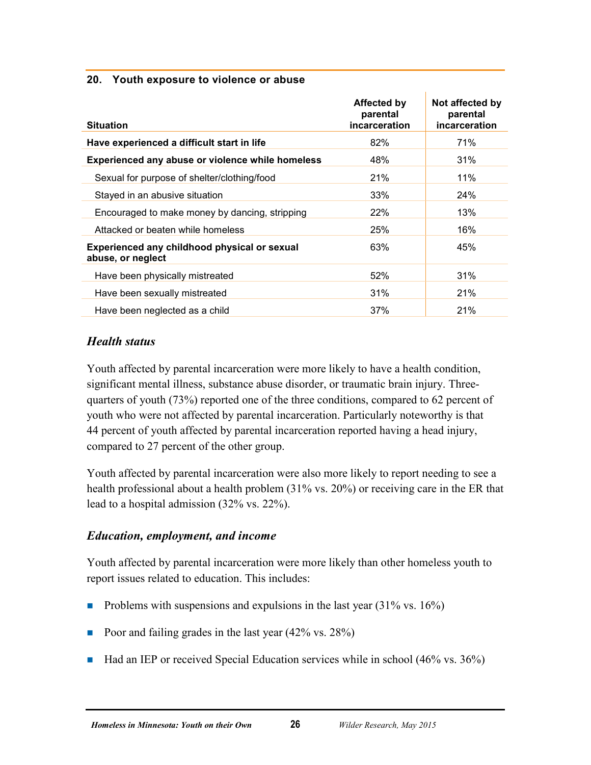#### <span id="page-29-0"></span>**20. Youth exposure to violence or abuse**

| <b>Situation</b>                                                  | <b>Affected by</b><br>parental<br>incarceration | Not affected by<br>parental<br>incarceration |
|-------------------------------------------------------------------|-------------------------------------------------|----------------------------------------------|
| Have experienced a difficult start in life                        | 82%                                             | 71%                                          |
| Experienced any abuse or violence while homeless                  | 48%                                             | 31%                                          |
| Sexual for purpose of shelter/clothing/food                       | 21%                                             | 11%                                          |
| Stayed in an abusive situation                                    | 33%                                             | 24%                                          |
| Encouraged to make money by dancing, stripping                    | <b>22%</b>                                      | 13%                                          |
| Attacked or beaten while homeless                                 | 25%                                             | 16%                                          |
| Experienced any childhood physical or sexual<br>abuse, or neglect | 63%                                             | 45%                                          |
| Have been physically mistreated                                   | 52%                                             | 31%                                          |
| Have been sexually mistreated                                     | 31%                                             | 21%                                          |
| Have been neglected as a child                                    | 37%                                             | 21%                                          |

#### *Health status*

Youth affected by parental incarceration were more likely to have a health condition, significant mental illness, substance abuse disorder, or traumatic brain injury. Threequarters of youth (73%) reported one of the three conditions, compared to 62 percent of youth who were not affected by parental incarceration. Particularly noteworthy is that 44 percent of youth affected by parental incarceration reported having a head injury, compared to 27 percent of the other group.

Youth affected by parental incarceration were also more likely to report needing to see a health professional about a health problem (31% vs. 20%) or receiving care in the ER that lead to a hospital admission (32% vs. 22%).

#### *Education, employment, and income*

Youth affected by parental incarceration were more likely than other homeless youth to report issues related to education. This includes:

- Problems with suspensions and expulsions in the last year  $(31\% \text{ vs. } 16\%)$
- Poor and failing grades in the last year  $(42\% \text{ vs. } 28\%)$
- $\blacksquare$  Had an IEP or received Special Education services while in school (46% vs. 36%)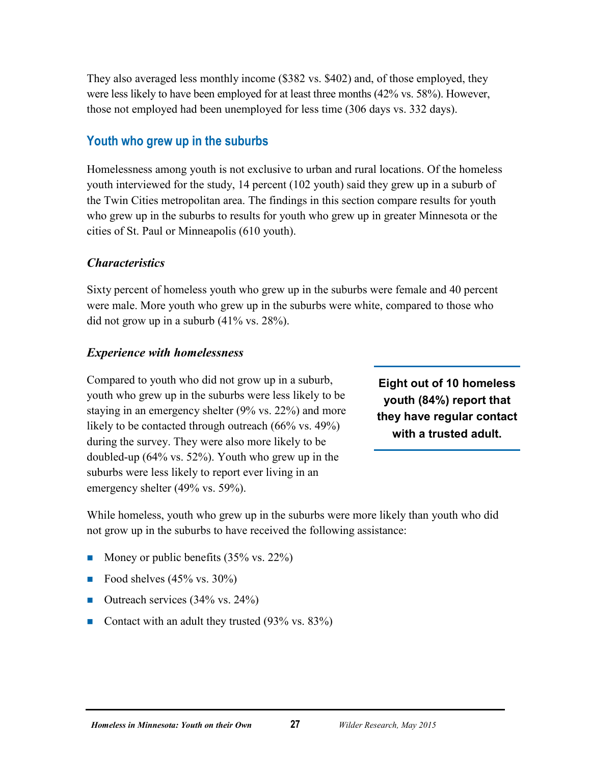They also averaged less monthly income (\$382 vs. \$402) and, of those employed, they were less likely to have been employed for at least three months (42% vs. 58%). However, those not employed had been unemployed for less time (306 days vs. 332 days).

#### <span id="page-30-0"></span>**Youth who grew up in the suburbs**

Homelessness among youth is not exclusive to urban and rural locations. Of the homeless youth interviewed for the study, 14 percent (102 youth) said they grew up in a suburb of the Twin Cities metropolitan area. The findings in this section compare results for youth who grew up in the suburbs to results for youth who grew up in greater Minnesota or the cities of St. Paul or Minneapolis (610 youth).

#### *Characteristics*

Sixty percent of homeless youth who grew up in the suburbs were female and 40 percent were male. More youth who grew up in the suburbs were white, compared to those who did not grow up in a suburb (41% vs. 28%).

#### *Experience with homelessness*

Compared to youth who did not grow up in a suburb, youth who grew up in the suburbs were less likely to be staying in an emergency shelter (9% vs. 22%) and more likely to be contacted through outreach (66% vs. 49%) during the survey. They were also more likely to be doubled-up (64% vs. 52%). Youth who grew up in the suburbs were less likely to report ever living in an emergency shelter (49% vs. 59%).

**Eight out of 10 homeless youth (84%) report that they have regular contact with a trusted adult.**

While homeless, youth who grew up in the suburbs were more likely than youth who did not grow up in the suburbs to have received the following assistance:

- Money or public benefits  $(35\% \text{ vs. } 22\%)$
- Food shelves  $(45\% \text{ vs. } 30\%)$
- $\blacksquare$  Outreach services (34% vs. 24%)
- Contact with an adult they trusted  $(93\% \text{ vs. } 83\%)$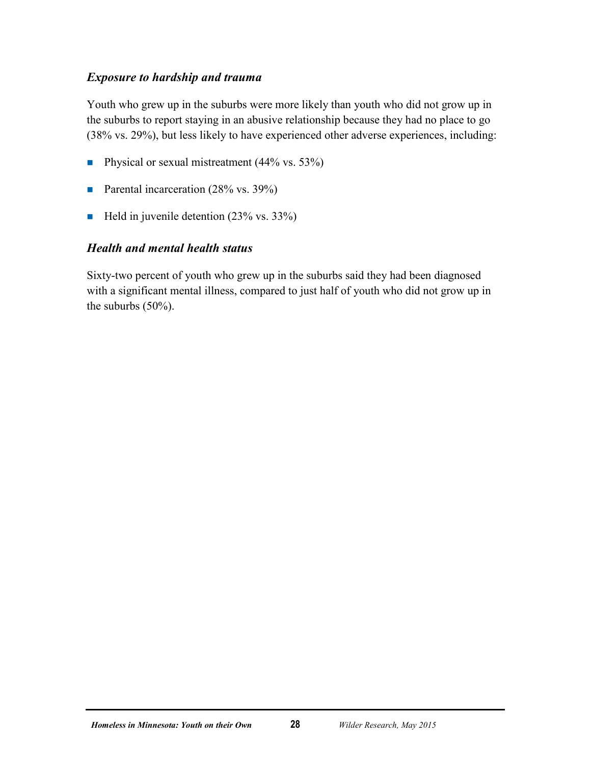#### *Exposure to hardship and trauma*

Youth who grew up in the suburbs were more likely than youth who did not grow up in the suburbs to report staying in an abusive relationship because they had no place to go (38% vs. 29%), but less likely to have experienced other adverse experiences, including:

- **Physical or sexual mistreatment (44% vs. 53%)**
- Parental incarceration  $(28\% \text{ vs. } 39\%)$
- Held in juvenile detention  $(23\% \text{ vs. } 33\%)$

#### *Health and mental health status*

Sixty-two percent of youth who grew up in the suburbs said they had been diagnosed with a significant mental illness, compared to just half of youth who did not grow up in the suburbs (50%).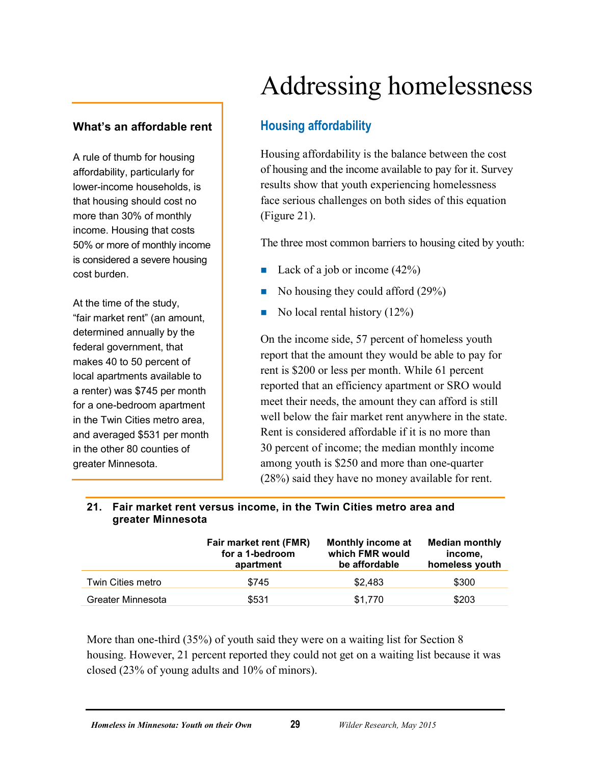#### <span id="page-32-1"></span><span id="page-32-0"></span>**What's an affordable rent**

A rule of thumb for housing affordability, particularly for lower-income households, is that housing should cost no more than 30% of monthly income. Housing that costs 50% or more of monthly income is considered a severe housing cost burden.

At the time of the study, "fair market rent" (an amount, determined annually by the federal government, that makes 40 to 50 percent of local apartments available to a renter) was \$745 per month for a one-bedroom apartment in the Twin Cities metro area, and averaged \$531 per month in the other 80 counties of greater Minnesota.

# Addressing homelessness

# **Housing affordability**

Housing affordability is the balance between the cost of housing and the income available to pay for it. Survey results show that youth experiencing homelessness face serious challenges on both sides of this equation (Figure 21).

The three most common barriers to housing cited by youth:

- Lack of a job or income  $(42%)$
- No housing they could afford  $(29%)$
- No local rental history  $(12\%)$

On the income side, 57 percent of homeless youth report that the amount they would be able to pay for rent is \$200 or less per month. While 61 percent reported that an efficiency apartment or SRO would meet their needs, the amount they can afford is still well below the fair market rent anywhere in the state. Rent is considered affordable if it is no more than 30 percent of income; the median monthly income among youth is \$250 and more than one-quarter (28%) said they have no money available for rent.

|                   | Fair market rent (FMR)<br>for a 1-bedroom<br>apartment | Monthly income at<br>which FMR would<br>be affordable | <b>Median monthly</b><br>income.<br>homeless youth |
|-------------------|--------------------------------------------------------|-------------------------------------------------------|----------------------------------------------------|
| Twin Cities metro | \$745                                                  | \$2.483                                               | \$300                                              |
| Greater Minnesota | \$531                                                  | \$1,770                                               | \$203                                              |

#### <span id="page-32-2"></span>**21. Fair market rent versus income, in the Twin Cities metro area and greater Minnesota**

More than one-third (35%) of youth said they were on a waiting list for Section 8 housing. However, 21 percent reported they could not get on a waiting list because it was closed (23% of young adults and 10% of minors).